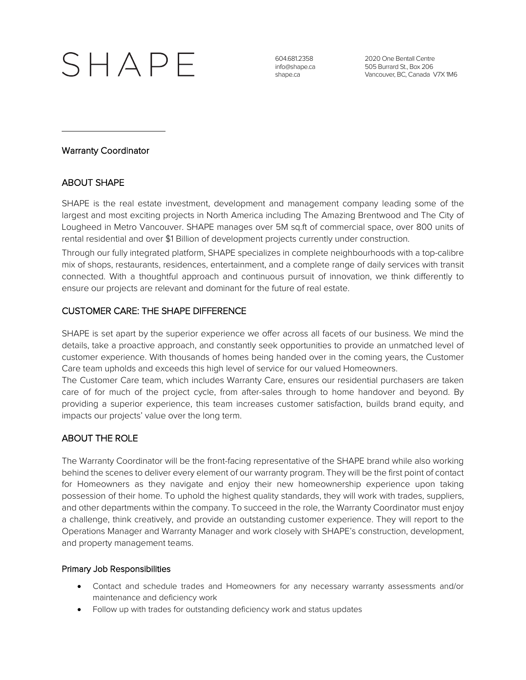# $SHAPF$

604.681.2358 info@shape.ca shape.ca

2020 One Bentall Centre 505 Burrard St., Box 206 Vancouver, BC, Canada V7X 1M6

## Warranty Coordinator

# ABOUT SHAPE

SHAPE is the real estate investment, development and management company leading some of the largest and most exciting projects in North America including The Amazing Brentwood and The City of Lougheed in Metro Vancouver. SHAPE manages over 5M sq.ft of commercial space, over 800 units of rental residential and over \$1 Billion of development projects currently under construction.

Through our fully integrated platform, SHAPE specializes in complete neighbourhoods with a top-calibre mix of shops, restaurants, residences, entertainment, and a complete range of daily services with transit connected. With a thoughtful approach and continuous pursuit of innovation, we think differently to ensure our projects are relevant and dominant for the future of real estate.

## CUSTOMER CARE: THE SHAPE DIFFERENCE

SHAPE is set apart by the superior experience we offer across all facets of our business. We mind the details, take a proactive approach, and constantly seek opportunities to provide an unmatched level of customer experience. With thousands of homes being handed over in the coming years, the Customer Care team upholds and exceeds this high level of service for our valued Homeowners.

The Customer Care team, which includes Warranty Care, ensures our residential purchasers are taken care of for much of the project cycle, from after-sales through to home handover and beyond. By providing a superior experience, this team increases customer satisfaction, builds brand equity, and impacts our projects' value over the long term.

## ABOUT THE ROLE

The Warranty Coordinator will be the front-facing representative of the SHAPE brand while also working behind the scenes to deliver every element of our warranty program. They will be the first point of contact for Homeowners as they navigate and enjoy their new homeownership experience upon taking possession of their home. To uphold the highest quality standards, they will work with trades, suppliers, and other departments within the company. To succeed in the role, the Warranty Coordinator must enjoy a challenge, think creatively, and provide an outstanding customer experience. They will report to the Operations Manager and Warranty Manager and work closely with SHAPE's construction, development, and property management teams.

### Primary Job Responsibilities

- Contact and schedule trades and Homeowners for any necessary warranty assessments and/or maintenance and deficiency work
- Follow up with trades for outstanding deficiency work and status updates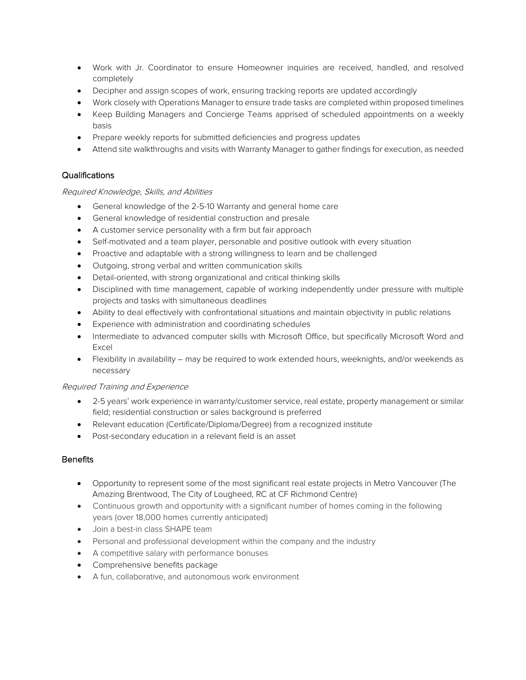- Work with Jr. Coordinator to ensure Homeowner inquiries are received, handled, and resolved completely
- Decipher and assign scopes of work, ensuring tracking reports are updated accordingly
- Work closely with Operations Manager to ensure trade tasks are completed within proposed timelines
- Keep Building Managers and Concierge Teams apprised of scheduled appointments on a weekly basis
- Prepare weekly reports for submitted deficiencies and progress updates
- Attend site walkthroughs and visits with Warranty Manager to gather findings for execution, as needed

## Qualifications

### Required Knowledge, Skills, and Abilities

- General knowledge of the 2-5-10 Warranty and general home care
- General knowledge of residential construction and presale
- A customer service personality with a firm but fair approach
- Self-motivated and a team player, personable and positive outlook with every situation
- Proactive and adaptable with a strong willingness to learn and be challenged
- Outgoing, strong verbal and written communication skills
- Detail-oriented, with strong organizational and critical thinking skills
- Disciplined with time management, capable of working independently under pressure with multiple projects and tasks with simultaneous deadlines
- Ability to deal effectively with confrontational situations and maintain objectivity in public relations
- Experience with administration and coordinating schedules
- Intermediate to advanced computer skills with Microsoft Office, but specifically Microsoft Word and Excel
- Flexibility in availability may be required to work extended hours, weeknights, and/or weekends as necessary

### Required Training and Experience

- 2-5 years' work experience in warranty/customer service, real estate, property management or similar field; residential construction or sales background is preferred
- Relevant education (Certificate/Diploma/Degree) from a recognized institute
- Post-secondary education in a relevant field is an asset

### **Benefits**

- Opportunity to represent some of the most significant real estate projects in Metro Vancouver (The Amazing Brentwood, The City of Lougheed, RC at CF Richmond Centre)
- Continuous growth and opportunity with a significant number of homes coming in the following years (over 18,000 homes currently anticipated)
- Join a best-in class SHAPE team
- Personal and professional development within the company and the industry
- A competitive salary with performance bonuses
- Comprehensive benefits package
- A fun, collaborative, and autonomous work environment